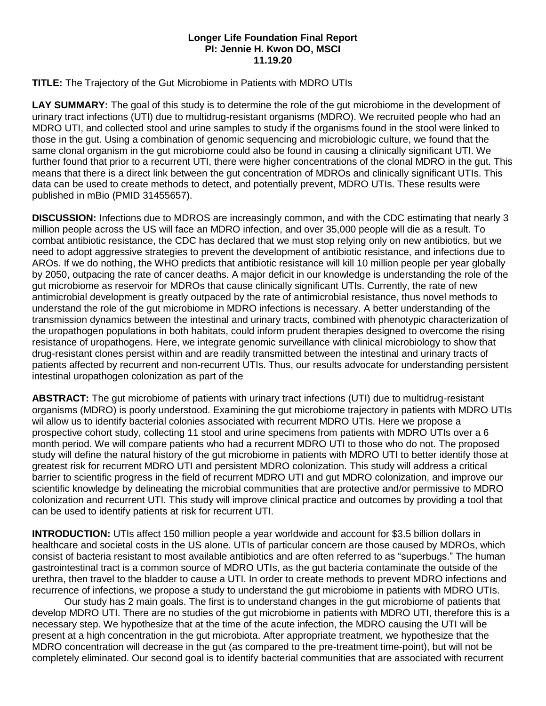## **Longer Life Foundation Final Report PI: Jennie H. Kwon DO, MSCI 11.19.20**

**TITLE:** The Trajectory of the Gut Microbiome in Patients with MDRO UTIs

**LAY SUMMARY:** The goal of this study is to determine the role of the gut microbiome in the development of urinary tract infections (UTI) due to multidrug-resistant organisms (MDRO). We recruited people who had an MDRO UTI, and collected stool and urine samples to study if the organisms found in the stool were linked to those in the gut. Using a combination of genomic sequencing and microbiologic culture, we found that the same clonal organism in the gut microbiome could also be found in causing a clinically significant UTI. We further found that prior to a recurrent UTI, there were higher concentrations of the clonal MDRO in the gut. This means that there is a direct link between the gut concentration of MDROs and clinically significant UTIs. This data can be used to create methods to detect, and potentially prevent, MDRO UTIs. These results were published in mBio (PMID 31455657).

**DISCUSSION:** Infections due to MDROS are increasingly common, and with the CDC estimating that nearly 3 million people across the US will face an MDRO infection, and over 35,000 people will die as a result. To combat antibiotic resistance, the CDC has declared that we must stop relying only on new antibiotics, but we need to adopt aggressive strategies to prevent the development of antibiotic resistance, and infections due to AROs. If we do nothing, the WHO predicts that antibiotic resistance will kill 10 million people per year globally by 2050, outpacing the rate of cancer deaths. A major deficit in our knowledge is understanding the role of the gut microbiome as reservoir for MDROs that cause clinically significant UTIs. Currently, the rate of new antimicrobial development is greatly outpaced by the rate of antimicrobial resistance, thus novel methods to understand the role of the gut microbiome in MDRO infections is necessary. A better understanding of the transmission dynamics between the intestinal and urinary tracts, combined with phenotypic characterization of the uropathogen populations in both habitats, could inform prudent therapies designed to overcome the rising resistance of uropathogens. Here, we integrate genomic surveillance with clinical microbiology to show that drug-resistant clones persist within and are readily transmitted between the intestinal and urinary tracts of patients affected by recurrent and non-recurrent UTIs. Thus, our results advocate for understanding persistent intestinal uropathogen colonization as part of the

**ABSTRACT:** The gut microbiome of patients with urinary tract infections (UTI) due to multidrug-resistant organisms (MDRO) is poorly understood. Examining the gut microbiome trajectory in patients with MDRO UTIs wil allow us to identify bacterial colonies associated with recurrent MDRO UTIs. Here we propose a prospective cohort study, collecting 11 stool and urine specimens from patients with MDRO UTIs over a 6 month period. We will compare patients who had a recurrent MDRO UTI to those who do not. The proposed study will define the natural history of the gut microbiome in patients with MDRO UTI to better identify those at greatest risk for recurrent MDRO UTI and persistent MDRO colonization. This study will address a critical barrier to scientific progress in the field of recurrent MDRO UTI and gut MDRO colonization, and improve our scientific knowledge by delineating the microbial communities that are protective and/or permissive to MDRO colonization and recurrent UTI. This study will improve clinical practice and outcomes by providing a tool that can be used to identify patients at risk for recurrent UTI.

**INTRODUCTION:** UTIs affect 150 million people a year worldwide and account for \$3.5 billion dollars in healthcare and societal costs in the US alone. UTIs of particular concern are those caused by MDROs, which consist of bacteria resistant to most available antibiotics and are often referred to as "superbugs." The human gastrointestinal tract is a common source of MDRO UTIs, as the gut bacteria contaminate the outside of the urethra, then travel to the bladder to cause a UTI. In order to create methods to prevent MDRO infections and recurrence of infections, we propose a study to understand the gut microbiome in patients with MDRO UTIs.

Our study has 2 main goals. The first is to understand changes in the gut microbiome of patients that develop MDRO UTI. There are no studies of the gut microbiome in patients with MDRO UTI, therefore this is a necessary step. We hypothesize that at the time of the acute infection, the MDRO causing the UTI will be present at a high concentration in the gut microbiota. After appropriate treatment, we hypothesize that the MDRO concentration will decrease in the gut (as compared to the pre-treatment time-point), but will not be completely eliminated. Our second goal is to identify bacterial communities that are associated with recurrent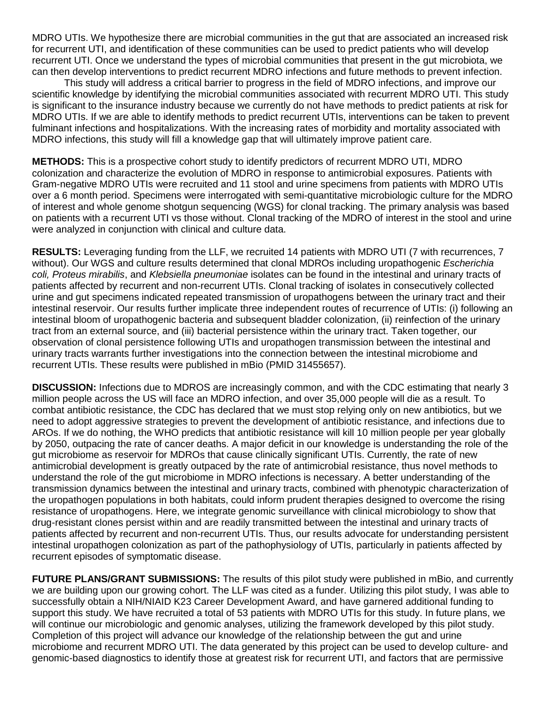MDRO UTIs. We hypothesize there are microbial communities in the gut that are associated an increased risk for recurrent UTI, and identification of these communities can be used to predict patients who will develop recurrent UTI. Once we understand the types of microbial communities that present in the gut microbiota, we can then develop interventions to predict recurrent MDRO infections and future methods to prevent infection.

This study will address a critical barrier to progress in the field of MDRO infections, and improve our scientific knowledge by identifying the microbial communities associated with recurrent MDRO UTI. This study is significant to the insurance industry because we currently do not have methods to predict patients at risk for MDRO UTIs. If we are able to identify methods to predict recurrent UTIs, interventions can be taken to prevent fulminant infections and hospitalizations. With the increasing rates of morbidity and mortality associated with MDRO infections, this study will fill a knowledge gap that will ultimately improve patient care.

**METHODS:** This is a prospective cohort study to identify predictors of recurrent MDRO UTI, MDRO colonization and characterize the evolution of MDRO in response to antimicrobial exposures. Patients with Gram-negative MDRO UTIs were recruited and 11 stool and urine specimens from patients with MDRO UTIs over a 6 month period. Specimens were interrogated with semi-quantitative microbiologic culture for the MDRO of interest and whole genome shotgun sequencing (WGS) for clonal tracking. The primary analysis was based on patients with a recurrent UTI vs those without. Clonal tracking of the MDRO of interest in the stool and urine were analyzed in conjunction with clinical and culture data.

**RESULTS:** Leveraging funding from the LLF, we recruited 14 patients with MDRO UTI (7 with recurrences, 7 without). Our WGS and culture results determined that clonal MDROs including uropathogenic *Escherichia coli, Proteus mirabilis*, and *Klebsiella pneumoniae* isolates can be found in the intestinal and urinary tracts of patients affected by recurrent and non-recurrent UTIs. Clonal tracking of isolates in consecutively collected urine and gut specimens indicated repeated transmission of uropathogens between the urinary tract and their intestinal reservoir. Our results further implicate three independent routes of recurrence of UTIs: (i) following an intestinal bloom of uropathogenic bacteria and subsequent bladder colonization, (ii) reinfection of the urinary tract from an external source, and (iii) bacterial persistence within the urinary tract. Taken together, our observation of clonal persistence following UTIs and uropathogen transmission between the intestinal and urinary tracts warrants further investigations into the connection between the intestinal microbiome and recurrent UTIs. These results were published in mBio (PMID 31455657).

**DISCUSSION:** Infections due to MDROS are increasingly common, and with the CDC estimating that nearly 3 million people across the US will face an MDRO infection, and over 35,000 people will die as a result. To combat antibiotic resistance, the CDC has declared that we must stop relying only on new antibiotics, but we need to adopt aggressive strategies to prevent the development of antibiotic resistance, and infections due to AROs. If we do nothing, the WHO predicts that antibiotic resistance will kill 10 million people per year globally by 2050, outpacing the rate of cancer deaths. A major deficit in our knowledge is understanding the role of the gut microbiome as reservoir for MDROs that cause clinically significant UTIs. Currently, the rate of new antimicrobial development is greatly outpaced by the rate of antimicrobial resistance, thus novel methods to understand the role of the gut microbiome in MDRO infections is necessary. A better understanding of the transmission dynamics between the intestinal and urinary tracts, combined with phenotypic characterization of the uropathogen populations in both habitats, could inform prudent therapies designed to overcome the rising resistance of uropathogens. Here, we integrate genomic surveillance with clinical microbiology to show that drug-resistant clones persist within and are readily transmitted between the intestinal and urinary tracts of patients affected by recurrent and non-recurrent UTIs. Thus, our results advocate for understanding persistent intestinal uropathogen colonization as part of the pathophysiology of UTIs, particularly in patients affected by recurrent episodes of symptomatic disease.

**FUTURE PLANS/GRANT SUBMISSIONS:** The results of this pilot study were published in mBio, and currently we are building upon our growing cohort. The LLF was cited as a funder. Utilizing this pilot study, I was able to successfully obtain a NIH/NIAID K23 Career Development Award, and have garnered additional funding to support this study. We have recruited a total of 53 patients with MDRO UTIs for this study. In future plans, we will continue our microbiologic and genomic analyses, utilizing the framework developed by this pilot study. Completion of this project will advance our knowledge of the relationship between the gut and urine microbiome and recurrent MDRO UTI. The data generated by this project can be used to develop culture- and genomic-based diagnostics to identify those at greatest risk for recurrent UTI, and factors that are permissive